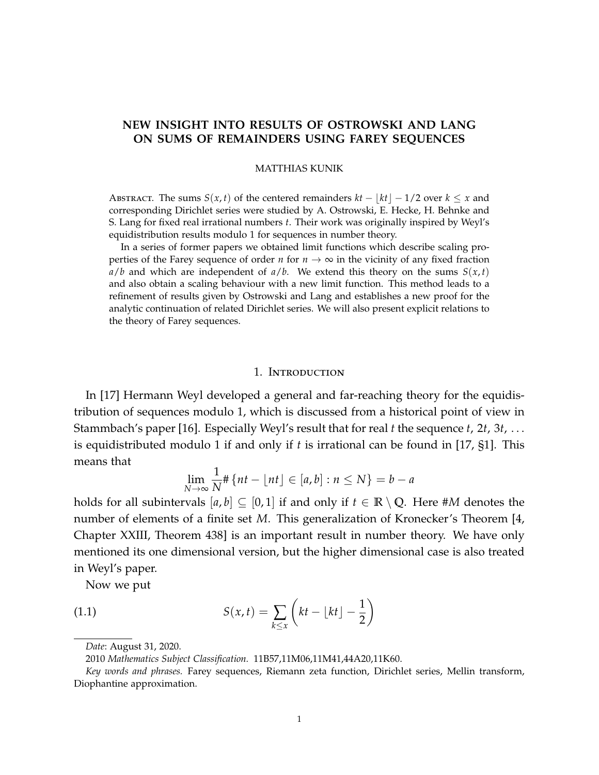# <span id="page-0-0"></span>**NEW INSIGHT INTO RESULTS OF OSTROWSKI AND LANG ON SUMS OF REMAINDERS USING FAREY SEQUENCES**

#### MATTHIAS KUNIK

ABSTRACT. The sums  $S(x, t)$  of the centered remainders  $kt - |kt| - 1/2$  over  $k \leq x$  and corresponding Dirichlet series were studied by A. Ostrowski, E. Hecke, H. Behnke and S. Lang for fixed real irrational numbers *t*. Their work was originally inspired by Weyl's equidistribution results modulo 1 for sequences in number theory.

In a series of former papers we obtained limit functions which describe scaling properties of the Farey sequence of order *n* for  $n \to \infty$  in the vicinity of any fixed fraction  $a/b$  and which are independent of  $a/b$ . We extend this theory on the sums  $S(x,t)$ and also obtain a scaling behaviour with a new limit function. This method leads to a refinement of results given by Ostrowski and Lang and establishes a new proof for the analytic continuation of related Dirichlet series. We will also present explicit relations to the theory of Farey sequences.

## 1. Introduction

In [\[17\]](#page-22-0) Hermann Weyl developed a general and far-reaching theory for the equidistribution of sequences modulo 1, which is discussed from a historical point of view in Stammbach's paper [\[16\]](#page-22-1). Especially Weyl's result that for real *t* the sequence *t*, 2*t*, 3*t*, . . . is equidistributed modulo 1 if and only if *t* is irrational can be found in [\[17,](#page-22-0) §1]. This means that

<span id="page-0-1"></span>
$$
\lim_{N \to \infty} \frac{1}{N} \# \{ nt - \lfloor nt \rfloor \in [a, b] : n \le N \} = b - a
$$

holds for all subintervals  $[a, b] \subseteq [0, 1]$  if and only if  $t \in \mathbb{R} \setminus \mathbb{Q}$ . Here #*M* denotes the number of elements of a finite set *M*. This generalization of Kronecker's Theorem [\[4,](#page-21-0) Chapter XXIII, Theorem 438] is an important result in number theory. We have only mentioned its one dimensional version, but the higher dimensional case is also treated in Weyl's paper.

Now we put

(1.1) 
$$
S(x,t) = \sum_{k \leq x} \left( kt - \lfloor kt \rfloor - \frac{1}{2} \right)
$$

*Date*: August 31, 2020.

<sup>2010</sup> *Mathematics Subject Classification.* 11B57,11M06,11M41,44A20,11K60.

*Key words and phrases.* Farey sequences, Riemann zeta function, Dirichlet series, Mellin transform, Diophantine approximation.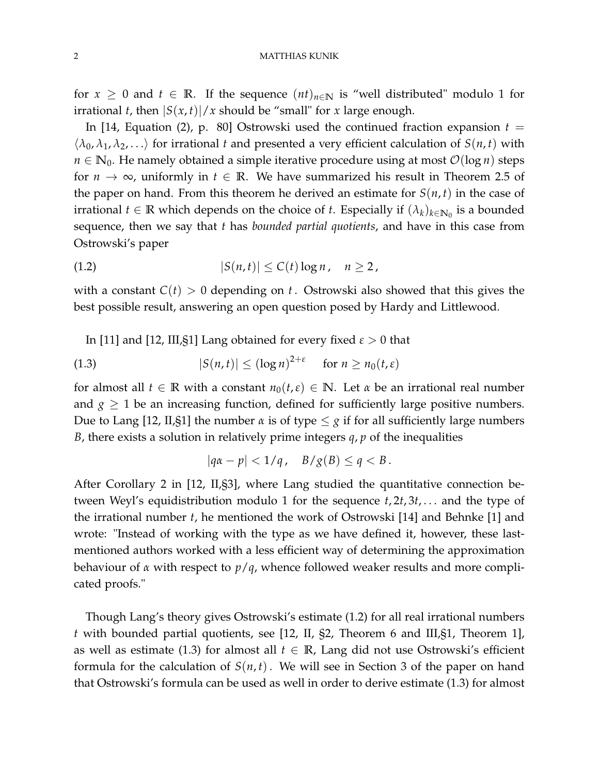for  $x \geq 0$  and  $t \in \mathbb{R}$ . If the sequence  $(nt)_{n \in \mathbb{N}}$  is "well distributed" modulo 1 for irrational *t*, then  $|S(x,t)|/x$  should be "small" for *x* large enough.

In [\[14,](#page-21-1) Equation (2), p. 80] Ostrowski used the continued fraction expansion  $t =$  $\langle \lambda_0, \lambda_1, \lambda_2, \ldots \rangle$  for irrational *t* and presented a very efficient calculation of *S*(*n*, *t*) with *n*  $\in$  **N**<sub>0</sub>. He namely obtained a simple iterative procedure using at most  $\mathcal{O}(\log n)$  steps for  $n \to \infty$ , uniformly in  $t \in \mathbb{R}$ . We have summarized his result in Theorem [2.5](#page-9-0) of the paper on hand. From this theorem he derived an estimate for  $S(n, t)$  in the case of irrational  $t \in \mathbb{R}$  which depends on the choice of  $t$ . Especially if  $(\lambda_k)_{k \in \mathbb{N}_0}$  is a bounded sequence, then we say that *t* has *bounded partial quotients*, and have in this case from Ostrowski's paper

<span id="page-1-0"></span>
$$
(1.2) \quad |S(n,t)| \leq C(t) \log n, \quad n \geq 2,
$$

with a constant  $C(t) > 0$  depending on *t*. Ostrowski also showed that this gives the best possible result, answering an open question posed by Hardy and Littlewood.

In [\[11\]](#page-21-2) and [\[12,](#page-21-3) III,  $\Im$ 1] Lang obtained for every fixed  $\varepsilon > 0$  that

(1.3) 
$$
|S(n,t)| \leq (\log n)^{2+\varepsilon} \quad \text{for } n \geq n_0(t,\varepsilon)
$$

for almost all  $t \in \mathbb{R}$  with a constant  $n_0(t,\varepsilon) \in \mathbb{N}$ . Let  $\alpha$  be an irrational real number and  $g \geq 1$  be an increasing function, defined for sufficiently large positive numbers. Due to Lang [\[12,](#page-21-3) II,§1] the number  $\alpha$  is of type  $\leq \alpha$  if for all sufficiently large numbers *B*, there exists a solution in relatively prime integers *q*, *p* of the inequalities

<span id="page-1-1"></span>
$$
|qa - p| < 1/q, \quad B/g(B) \le q < B.
$$

After Corollary 2 in [\[12,](#page-21-3) II,§3], where Lang studied the quantitative connection between Weyl's equidistribution modulo 1 for the sequence *t*, 2*t*, 3*t*, . . . and the type of the irrational number *t*, he mentioned the work of Ostrowski [\[14\]](#page-21-1) and Behnke [\[1\]](#page-21-4) and wrote: "Instead of working with the type as we have defined it, however, these lastmentioned authors worked with a less efficient way of determining the approximation behaviour of *α* with respect to *p*/*q*, whence followed weaker results and more complicated proofs."

Though Lang's theory gives Ostrowski's estimate [\(1.2\)](#page-1-0) for all real irrational numbers *t* with bounded partial quotients, see [\[12,](#page-21-3) II, §2, Theorem 6 and III,§1, Theorem 1], as well as estimate [\(1.3\)](#page-1-1) for almost all  $t \in \mathbb{R}$ , Lang did not use Ostrowski's efficient formula for the calculation of  $S(n, t)$ . We will see in Section [3](#page-14-0) of the paper on hand that Ostrowski's formula can be used as well in order to derive estimate [\(1.3\)](#page-1-1) for almost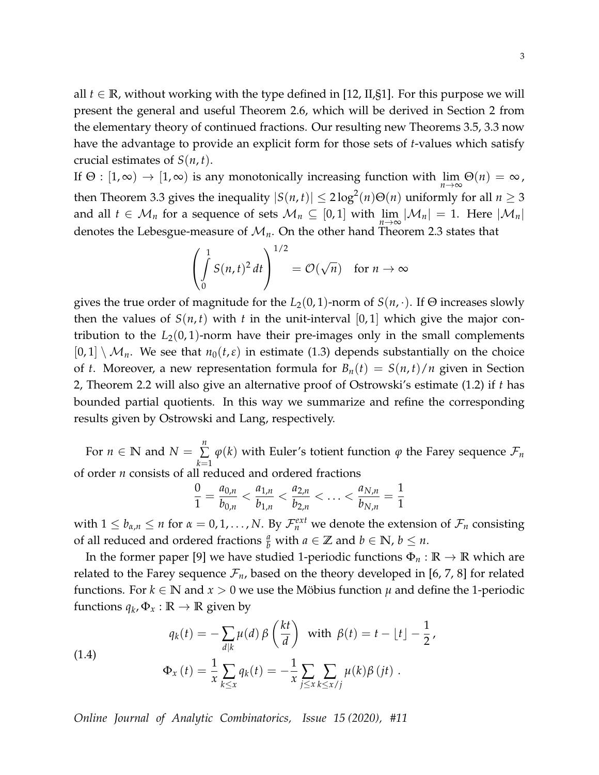all  $t \in \mathbb{R}$ , without working with the type defined in [\[12,](#page-21-3) II, §1]. For this purpose we will present the general and useful Theorem [2.6,](#page-11-0) which will be derived in Section [2](#page-4-0) from the elementary theory of continued fractions. Our resulting new Theorems [3.5,](#page-16-0) [3.3](#page-15-0) now have the advantage to provide an explicit form for those sets of *t*-values which satisfy crucial estimates of  $S(n, t)$ .

If  $\Theta : [1, \infty) \to [1, \infty)$  is any monotonically increasing function with  $\lim_{n \to \infty} \Theta(n) = \infty$ , then Theorem [3.3](#page-15-0) gives the inequality  $|S(n,t)| \leq 2 \log^2(n) \Theta(n)$  uniformly for all  $n \geq 3$ and all  $t \in \mathcal{M}_n$  for a sequence of sets  $\mathcal{M}_n \subseteq [0,1]$  with  $\lim\limits_{n\to\infty}|\mathcal{M}_n| = 1$ . Here  $|\mathcal{M}_n|$ denotes the Lebesgue-measure of  $\mathcal{M}_n$ . On the other hand Theorem [2.3](#page-8-0) states that

$$
\left(\int_{0}^{1} S(n,t)^{2} dt\right)^{1/2} = \mathcal{O}(\sqrt{n}) \text{ for } n \to \infty
$$

gives the true order of magnitude for the  $L_2(0, 1)$ -norm of  $S(n, \cdot)$ . If  $\Theta$  increases slowly then the values of  $S(n, t)$  with *t* in the unit-interval [0, 1] which give the major contribution to the  $L_2(0, 1)$ -norm have their pre-images only in the small complements  $[0, 1] \setminus \mathcal{M}_n$ . We see that  $n_0(t, \varepsilon)$  in estimate [\(1.3\)](#page-1-1) depends substantially on the choice of *t*. Moreover, a new representation formula for  $B_n(t) = S(n,t)/n$  given in Section [2,](#page-4-0) Theorem [2.2](#page-0-0) will also give an alternative proof of Ostrowski's estimate [\(1.2\)](#page-1-0) if *t* has bounded partial quotients. In this way we summarize and refine the corresponding results given by Ostrowski and Lang, respectively.

For  $n \in \mathbb{N}$  and  $N = \sum_{n=1}^{\infty}$ ∑ *k*=1  $\varphi(k)$  with Euler's totient function  $\varphi$  the Farey sequence  $\mathcal{F}_n$ of order *n* consists of all reduced and ordered fractions

$$
\frac{0}{1} = \frac{a_{0,n}}{b_{0,n}} < \frac{a_{1,n}}{b_{1,n}} < \frac{a_{2,n}}{b_{2,n}} < \ldots < \frac{a_{N,n}}{b_{N,n}} = \frac{1}{1}
$$

with  $1 \le b_{\alpha,n} \le n$  for  $\alpha = 0,1,\ldots,N$ . By  $\mathcal{F}_n^{ext}$  we denote the extension of  $\mathcal{F}_n$  consisting of all reduced and ordered fractions  $\frac{a}{b}$  with  $a \in \mathbb{Z}$  and  $b \in \mathbb{N}$ ,  $b \leq n$ .

In the former paper [\[9\]](#page-21-5) we have studied 1-periodic functions  $\Phi_n : \mathbb{R} \to \mathbb{R}$  which are related to the Farey sequence  $\mathcal{F}_n$ , based on the theory developed in [\[6,](#page-21-6) [7,](#page-21-7) [8\]](#page-21-8) for related functions. For  $k \in \mathbb{N}$  and  $x > 0$  we use the Möbius function  $\mu$  and define the 1-periodic functions  $q_k$ ,  $\Phi_x : \mathbb{R} \to \mathbb{R}$  given by

<span id="page-2-0"></span>(1.4)  

$$
q_k(t) = -\sum_{d|k} \mu(d) \beta\left(\frac{kt}{d}\right) \text{ with } \beta(t) = t - \lfloor t \rfloor - \frac{1}{2},
$$

$$
\Phi_x(t) = \frac{1}{x} \sum_{k \le x} q_k(t) = -\frac{1}{x} \sum_{j \le x} \sum_{k \le x/j} \mu(k) \beta(jt).
$$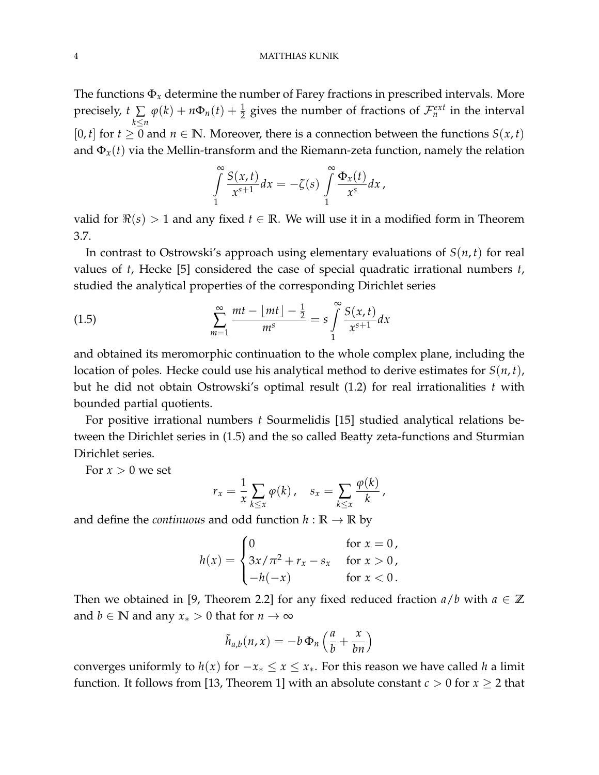#### 4 MATTHIAS KUNIK

The functions  $\Phi_x$  determine the number of Farey fractions in prescribed intervals. More precisely, *t* ∑ *k*≤*n*  $\varphi(k) + n\Phi_n(t) + \frac{1}{2}$  gives the number of fractions of  $\mathcal{F}_n^{ext}$  in the interval [0, *t*] for  $t \geq 0$  and  $n \in \mathbb{N}$ . Moreover, there is a connection between the functions  $S(x, t)$ and  $\Phi_x(t)$  via the Mellin-transform and the Riemann-zeta function, namely the relation

$$
\int_{1}^{\infty} \frac{S(x,t)}{x^{s+1}} dx = -\zeta(s) \int_{1}^{\infty} \frac{\Phi_x(t)}{x^s} dx,
$$

valid for  $\Re(s) > 1$  and any fixed  $t \in \mathbb{R}$ . We will use it in a modified form in Theorem [3.7.](#page-18-0)

In contrast to Ostrowski's approach using elementary evaluations of *S*(*n*, *t*) for real values of *t*, Hecke [\[5\]](#page-21-9) considered the case of special quadratic irrational numbers *t*, studied the analytical properties of the corresponding Dirichlet series

<span id="page-3-0"></span>(1.5) 
$$
\sum_{m=1}^{\infty} \frac{mt - \lfloor mt \rfloor - \frac{1}{2}}{m^s} = s \int_{1}^{\infty} \frac{S(x, t)}{x^{s+1}} dx
$$

and obtained its meromorphic continuation to the whole complex plane, including the location of poles. Hecke could use his analytical method to derive estimates for *S*(*n*, *t*), but he did not obtain Ostrowski's optimal result [\(1.2\)](#page-1-0) for real irrationalities *t* with bounded partial quotients.

For positive irrational numbers *t* Sourmelidis [\[15\]](#page-22-2) studied analytical relations between the Dirichlet series in [\(1.5\)](#page-3-0) and the so called Beatty zeta-functions and Sturmian Dirichlet series.

For  $x > 0$  we set

$$
r_x = \frac{1}{x} \sum_{k \leq x} \varphi(k), \quad s_x = \sum_{k \leq x} \frac{\varphi(k)}{k},
$$

and define the *continuous* and odd function  $h : \mathbb{R} \to \mathbb{R}$  by

$$
h(x) = \begin{cases} 0 & \text{for } x = 0, \\ 3x/\pi^2 + r_x - s_x & \text{for } x > 0, \\ -h(-x) & \text{for } x < 0. \end{cases}
$$

Then we obtained in [\[9,](#page-21-5) Theorem 2.2] for any fixed reduced fraction  $a/b$  with  $a \in \mathbb{Z}$ and *b*  $\in$  **N** and any *x*<sup>\*</sup> > 0 that for *n*  $\rightarrow \infty$ 

$$
\tilde{h}_{a,b}(n,x) = -b \Phi_n \left(\frac{a}{b} + \frac{x}{bn}\right)
$$

converges uniformly to  $h(x)$  for  $-x_* \le x \le x_*$ . For this reason we have called *h* a limit function. It follows from [\[13,](#page-21-10) Theorem 1] with an absolute constant  $c > 0$  for  $x \ge 2$  that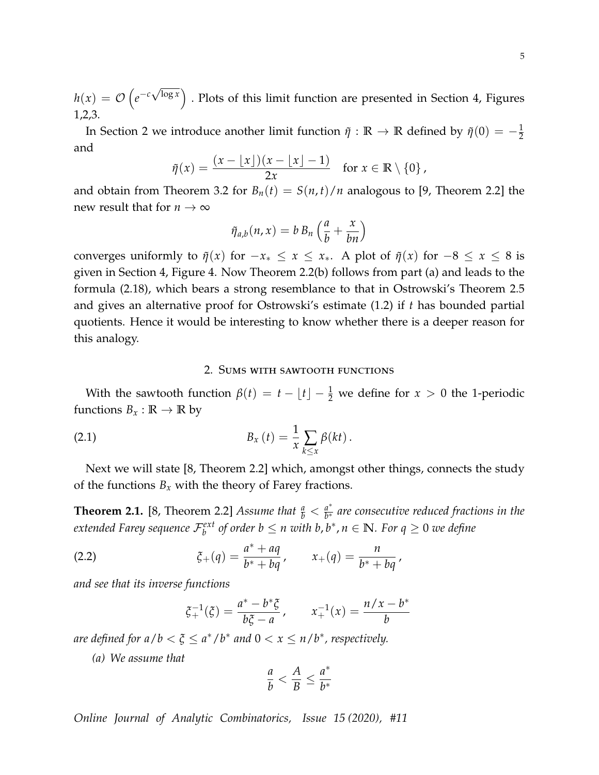$h(x) = \mathcal{O}\left(e^{-c}\right)$ √  $\overline{\log x}$ ) . Plots of this limit function are presented in Section [4,](#page-19-0) Figures [1,](#page-19-1)[2,](#page-19-2)[3.](#page-20-0)

In Section [2](#page-4-0) we introduce another limit function  $\tilde{\eta}$  :  $\mathbb{R} \to \mathbb{R}$  defined by  $\tilde{\eta}(0) = -\frac{1}{2}$ and

$$
\tilde{\eta}(x) = \frac{(x - \lfloor x \rfloor)(x - \lfloor x \rfloor - 1)}{2x} \quad \text{for } x \in \mathbb{R} \setminus \{0\},
$$

and obtain from Theorem [3.2](#page-15-1) for  $B_n(t) = S(n, t)/n$  analogous to [\[9,](#page-21-5) Theorem 2.2] the new result that for  $n \to \infty$ 

$$
\tilde{\eta}_{a,b}(n,x) = b B_n \left( \frac{a}{b} + \frac{x}{bn} \right)
$$

converges uniformly to  $\tilde{\eta}(x)$  for  $-x_* \le x \le x_*$ . A plot of  $\tilde{\eta}(x)$  for  $-8 \le x \le 8$  is given in Section [4,](#page-19-0) Figure [4.](#page-20-1) Now Theorem [2.2\(](#page-0-0)b) follows from part (a) and leads to the formula [\(2.18\)](#page-11-1), which bears a strong resemblance to that in Ostrowski's Theorem [2.5](#page-9-0) and gives an alternative proof for Ostrowski's estimate [\(1.2\)](#page-1-0) if *t* has bounded partial quotients. Hence it would be interesting to know whether there is a deeper reason for this analogy.

### <span id="page-4-1"></span>2. Sums with sawtooth functions

<span id="page-4-0"></span>With the sawtooth function  $\beta(t) = t - \lfloor t \rfloor - \frac{1}{2}$  we define for  $x > 0$  the 1-periodic functions  $B_x : \mathbb{R} \to \mathbb{R}$  by

(2.1) 
$$
B_x(t) = \frac{1}{x} \sum_{k \leq x} \beta(kt).
$$

Next we will state [\[8,](#page-21-8) Theorem 2.2] which, amongst other things, connects the study of the functions  $B_x$  with the theory of Farey fractions.

<span id="page-4-2"></span>**Theorem 2.1.** [\[8,](#page-21-8) Theorem 2.2] *Assume that*  $\frac{a}{b} < \frac{a^*}{b^*}$ *b* <sup>∗</sup> *are consecutive reduced fractions in the*  $e$ xtended Farey sequence  $\mathcal{F}_{b}^{ext}$  of order  $b\leq n$  with  $b$ ,  $b^*$ ,  $n\in\mathbb{N}$ . For  $q\geq 0$  we define

(2.2) 
$$
\xi_{+}(q) = \frac{a^{*} + aq}{b^{*} + bq}, \qquad x_{+}(q) = \frac{n}{b^{*} + bq},
$$

*and see that its inverse functions*

<span id="page-4-3"></span>
$$
\xi_+^{-1}(\xi) = \frac{a^* - b^*\xi}{b\xi - a}, \qquad x_+^{-1}(x) = \frac{n/x - b^*}{b}
$$

*are defined for a* /  $b < \xi \leq a^*/b^*$  *and*  $0 < x \leq n/b^*$ , respectively.

*(a) We assume that*

$$
\frac{a}{b} < \frac{A}{B} \le \frac{a^*}{b^*}
$$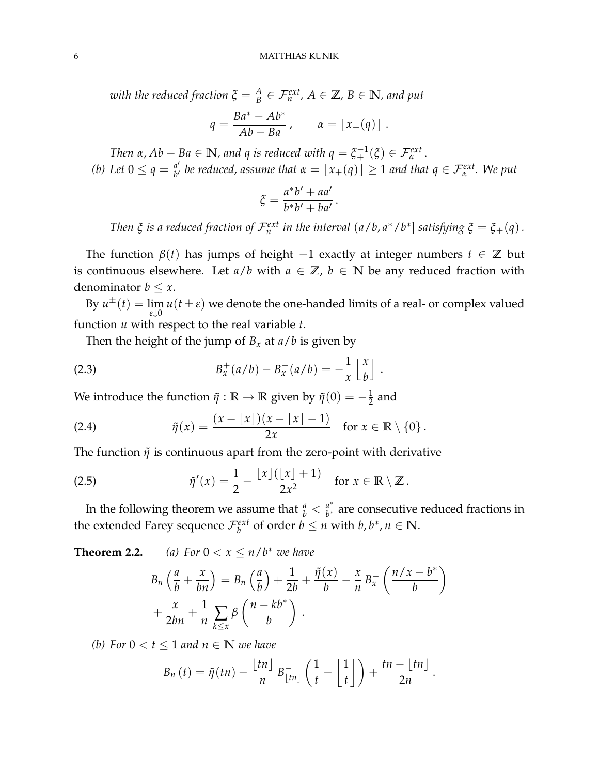*with the reduced fraction*  $\xi = \frac{A}{B} \in \mathcal{F}_n^{ext}$ *,*  $A \in \mathbb{Z}$ *,*  $B \in \mathbb{N}$ *<i>, and put* 

$$
q = \frac{Ba^* - Ab^*}{Ab - Ba}, \qquad \alpha = \lfloor x_+(q) \rfloor.
$$

*Then*  $\alpha$ ,  $Ab - Ba \in \mathbb{N}$ , and q is reduced with  $q = \xi_{+}^{-1}(\xi) \in \mathcal{F}_{\alpha}^{ext}$ . *(b)* Let  $0 \leq q = \frac{a'}{b'}$ *a'* be reduced, assume that  $\alpha = \lfloor x_+(q) \rfloor \geq 1$  and that  $q \in \mathcal{F}_\alpha^{ext}$ . We put

$$
\xi = \frac{a^*b' + aa'}{b^*b' + ba'}.
$$

*Then*  $\xi$  *is a reduced fraction of*  $\mathcal{F}_n^{ext}$  *in the interval*  $(a/b, a^*/b^*]$  *satisfying*  $\xi = \xi_+(q)$ .

.

The function  $\beta(t)$  has jumps of height  $-1$  exactly at integer numbers  $t \in \mathbb{Z}$  but is continuous elsewhere. Let  $a/b$  with  $a \in \mathbb{Z}$ ,  $b \in \mathbb{N}$  be any reduced fraction with denominator  $b \leq x$ .

By  $u^{\pm}(t) = \lim_{h \to 0}$  $\lim_{\varepsilon \downarrow 0} u(t \pm \varepsilon)$  we denote the one-handed limits of a real- or complex valued function *u* with respect to the real variable *t*.

<span id="page-5-1"></span>Then the height of the jump of  $B_x$  at  $a/b$  is given by

(2.3) 
$$
B_x^+(a/b) - B_x^-(a/b) = -\frac{1}{x} \left\lfloor \frac{x}{b} \right\rfloor
$$

We introduce the function  $\tilde{\eta} : \mathbb{R} \to \mathbb{R}$  given by  $\tilde{\eta}(0) = -\frac{1}{2}$  and

<span id="page-5-2"></span>(2.4) 
$$
\tilde{\eta}(x) = \frac{(x - \lfloor x \rfloor)(x - \lfloor x \rfloor - 1)}{2x} \text{ for } x \in \mathbb{R} \setminus \{0\}.
$$

The function  $\tilde{\eta}$  is continuous apart from the zero-point with derivative

(2.5) 
$$
\tilde{\eta}'(x) = \frac{1}{2} - \frac{\lfloor x \rfloor (\lfloor x \rfloor + 1)}{2x^2} \quad \text{for } x \in \mathbb{R} \setminus \mathbb{Z}.
$$

In the following theorem we assume that  $\frac{a}{b} < \frac{a^*}{b^*}$  $\frac{a}{b^*}$  are consecutive reduced fractions in the extended Farey sequence  $\mathcal{F}_b^{ext}$  of order  $b \leq n$  with  $b, b^*, n \in \mathbb{N}$ .

**Theorem 2.2.** *(a)*  $For \ 0 < x \leq n/b^*$  *we have* 

<span id="page-5-0"></span>
$$
B_n\left(\frac{a}{b} + \frac{x}{bn}\right) = B_n\left(\frac{a}{b}\right) + \frac{1}{2b} + \frac{\tilde{\eta}(x)}{b} - \frac{x}{n}B_x^-\left(\frac{n/x - b^*}{b}\right) + \frac{x}{2bn} + \frac{1}{n}\sum_{k \le x} \beta\left(\frac{n - kb^*}{b}\right).
$$

*(b)* For  $0 < t \leq 1$  and  $n \in \mathbb{N}$  we have

$$
B_n(t) = \tilde{\eta}(tn) - \frac{\lfloor tn \rfloor}{n} B_{\lfloor tn \rfloor}^{-} \left( \frac{1}{t} - \left\lfloor \frac{1}{t} \right\rfloor \right) + \frac{tn - \lfloor tn \rfloor}{2n}.
$$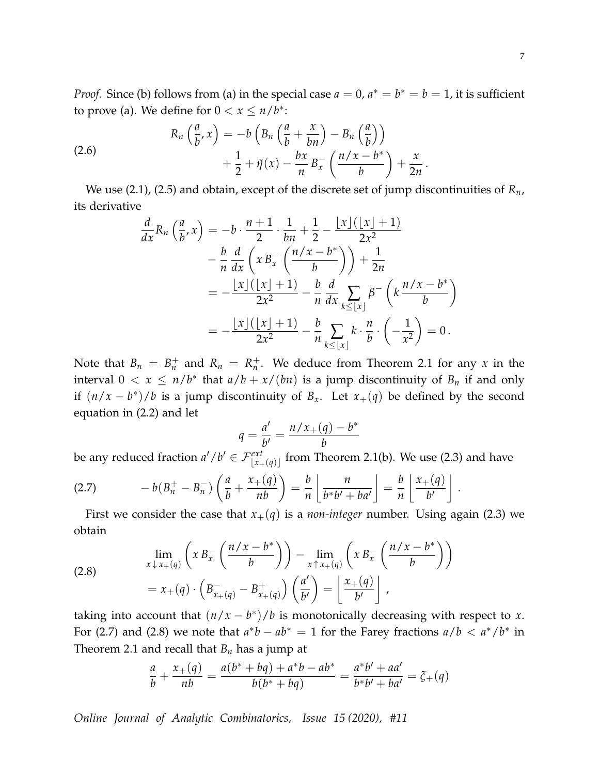*Proof.* Since (b) follows from (a) in the special case  $a = 0$ ,  $a^* = b^* = b = 1$ , it is sufficient to prove (a). We define for  $0 < x \leq n/b^*$ :

<span id="page-6-2"></span>(2.6) 
$$
R_n\left(\frac{a}{b},x\right) = -b\left(B_n\left(\frac{a}{b} + \frac{x}{bn}\right) - B_n\left(\frac{a}{b}\right)\right) + \frac{1}{2} + \tilde{\eta}(x) - \frac{bx}{n}B_x^-\left(\frac{n/x - b^*}{b}\right) + \frac{x}{2n}.
$$

We use [\(2.1\)](#page-4-1), [\(2.5\)](#page-5-0) and obtain, except of the discrete set of jump discontinuities of *Rn*, its derivative

$$
\frac{d}{dx}R_n\left(\frac{a}{b},x\right) = -b \cdot \frac{n+1}{2} \cdot \frac{1}{bn} + \frac{1}{2} - \frac{\lfloor x \rfloor(\lfloor x \rfloor + 1)}{2x^2}
$$
\n
$$
- \frac{b}{n} \frac{d}{dx}\left(xB_x^-\left(\frac{n/x - b^*}{b}\right)\right) + \frac{1}{2n}
$$
\n
$$
= -\frac{\lfloor x \rfloor(\lfloor x \rfloor + 1)}{2x^2} - \frac{b}{n} \frac{d}{dx}\sum_{k \leq \lfloor x \rfloor} \beta^{-}\left(k\frac{n/x - b^*}{b}\right)
$$
\n
$$
= -\frac{\lfloor x \rfloor(\lfloor x \rfloor + 1)}{2x^2} - \frac{b}{n}\sum_{k \leq \lfloor x \rfloor} k \cdot \frac{n}{b} \cdot \left(-\frac{1}{x^2}\right) = 0.
$$

Note that  $B_n = B_n^+$  and  $R_n = R_n^+$ . We deduce from Theorem [2.1](#page-4-2) for any *x* in the interval  $0 < x \le n/b^*$  that  $a/b + x/(bn)$  is a jump discontinuity of  $B_n$  if and only if  $(n/x - b^*)/b$  is a jump discontinuity of  $B_x$ . Let  $x_+(q)$  be defined by the second equation in [\(2.2\)](#page-4-3) and let

$$
q = \frac{a'}{b'} = \frac{n/x_+(q) - b^*}{b}
$$

be any reduced fraction  $a'/b' \in \mathcal{F}^{ext}_{\lfloor x + (q) \rfloor}$  from Theorem [2.1\(](#page-4-2)b). We use [\(2.3\)](#page-5-1) and have

<span id="page-6-0"></span>
$$
(2.7) \qquad \qquad -b(B_n^+ - B_n^-) \left( \frac{a}{b} + \frac{x_+(q)}{nb} \right) = \frac{b}{n} \left[ \frac{n}{b^*b' + ba'} \right] = \frac{b}{n} \left[ \frac{x_+(q)}{b'} \right]
$$

First we consider the case that  $x_+(q)$  is a *non-integer* number. Using again [\(2.3\)](#page-5-1) we obtain

<span id="page-6-1"></span>(2.8) 
$$
\lim_{x \downarrow x + (q)} \left( x B_x^- \left( \frac{n/x - b^*}{b} \right) \right) - \lim_{x \uparrow x + (q)} \left( x B_x^- \left( \frac{n/x - b^*}{b} \right) \right) = x_+(q) \cdot \left( B_{x_+(q)}^- - B_{x_+(q)}^+ \right) \left( \frac{a'}{b'} \right) = \left[ \frac{x_+(q)}{b'} \right],
$$

taking into account that  $(n/x - b^*)/b$  is monotonically decreasing with respect to *x*. For [\(2.7\)](#page-6-0) and [\(2.8\)](#page-6-1) we note that  $a^*b - ab^* = 1$  for the Farey fractions  $a/b < a^*/b^*$  in Theorem [2.1](#page-4-2) and recall that *B<sup>n</sup>* has a jump at

$$
\frac{a}{b} + \frac{x_+(q)}{nb} = \frac{a(b^* + bq) + a^*b - ab^*}{b(b^* + bq)} = \frac{a^*b' + aa'}{b^*b' + ba'} = \xi_+(q)
$$

*Online Journal of Analytic Combinatorics, Issue 15 (2020), #11*

.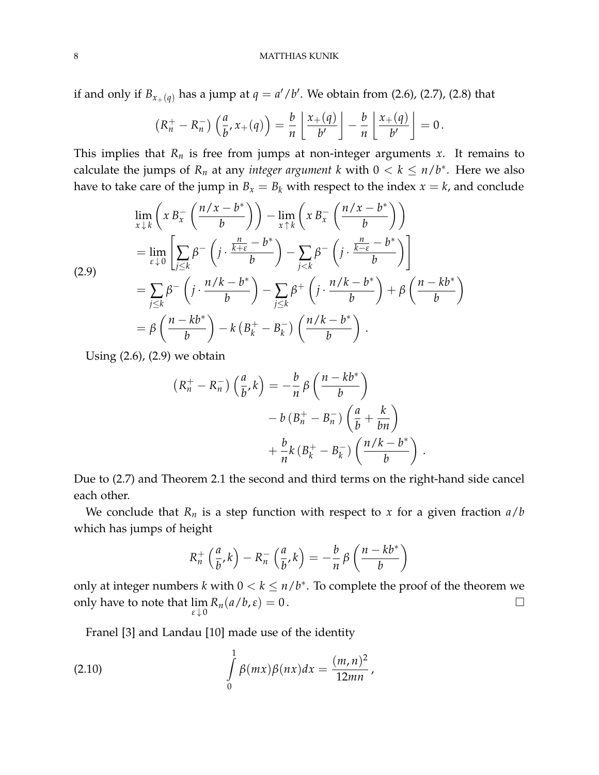if and only if  $B_{x_+(q)}$  has a jump at  $q = a'/b'$ . We obtain from [\(2.6\)](#page-6-2), [\(2.7\)](#page-6-0), [\(2.8\)](#page-6-1) that

$$
(R_n^+ - R_n^-) \left( \frac{a}{b'}, x_+(q) \right) = \frac{b}{n} \left[ \frac{x_+(q)}{b'} \right] - \frac{b}{n} \left[ \frac{x_+(q)}{b'} \right] = 0.
$$

This implies that  $R_n$  is free from jumps at non-integer arguments  $x$ . It remains to calculate the jumps of  $R_n$  at any *integer argument* k with  $0 < k \leq n/b^*$ . Here we also have to take care of the jump in  $B_x = B_k$  with respect to the index  $x = k$ , and conclude

<span id="page-7-0"></span>
$$
\lim_{x \downarrow k} \left( x B_x^- \left( \frac{n/x - b^*}{b} \right) \right) - \lim_{x \uparrow k} \left( x B_x^- \left( \frac{n/x - b^*}{b} \right) \right)
$$
\n
$$
= \lim_{\varepsilon \downarrow 0} \left[ \sum_{j \le k} \beta^- \left( j \cdot \frac{\frac{n}{k + \varepsilon} - b^*}{b} \right) - \sum_{j < k} \beta^- \left( j \cdot \frac{\frac{n}{k - \varepsilon} - b^*}{b} \right) \right]
$$
\n
$$
= \sum_{j \le k} \beta^- \left( j \cdot \frac{n/k - b^*}{b} \right) - \sum_{j \le k} \beta^+ \left( j \cdot \frac{n/k - b^*}{b} \right) + \beta \left( \frac{n - kb^*}{b} \right)
$$
\n
$$
= \beta \left( \frac{n - kb^*}{b} \right) - k \left( B_k^+ - B_k^- \right) \left( \frac{n/k - b^*}{b} \right).
$$

Using [\(2.6\)](#page-6-2), [\(2.9\)](#page-7-0) we obtain

$$
(R_n^+ - R_n^-) \left(\frac{a}{b}, k\right) = -\frac{b}{n} \beta \left(\frac{n - kb^*}{b}\right)
$$

$$
- b \left(B_n^+ - B_n^-\right) \left(\frac{a}{b} + \frac{k}{bn}\right)
$$

$$
+ \frac{b}{n} k \left(B_k^+ - B_k^-\right) \left(\frac{n/k - b^*}{b}\right)
$$

.

Due to [\(2.7\)](#page-6-0) and Theorem [2.1](#page-4-2) the second and third terms on the right-hand side cancel each other.

We conclude that  $R_n$  is a step function with respect to *x* for a given fraction  $a/b$ which has jumps of height

<span id="page-7-1"></span>
$$
R_n^+\left(\frac{a}{b},k\right) - R_n^-\left(\frac{a}{b},k\right) = -\frac{b}{n}\beta\left(\frac{n-kb^*}{b}\right)
$$

only at integer numbers *k* with  $0 < k \leq n/b^*$ . To complete the proof of the theorem we only have to note that lim  $\lim_{\varepsilon \downarrow 0} R_n(a/b, \varepsilon) = 0$ .

Franel [\[3\]](#page-21-11) and Landau [\[10\]](#page-21-12) made use of the identity

(2.10) 
$$
\int_{0}^{1} \beta(mx)\beta(nx)dx = \frac{(m,n)^2}{12mn},
$$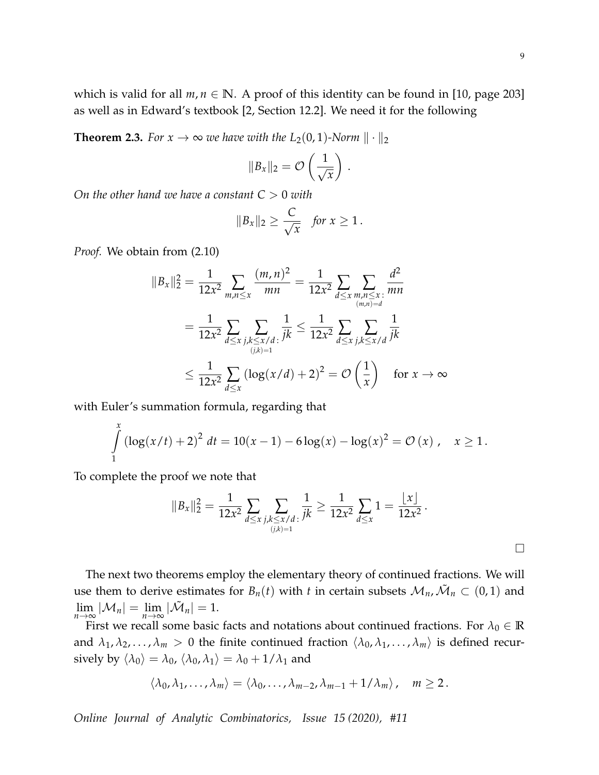which is valid for all  $m, n \in \mathbb{N}$ . A proof of this identity can be found in [\[10,](#page-21-12) page 203] as well as in Edward's textbook [\[2,](#page-21-13) Section 12.2]. We need it for the following

<span id="page-8-0"></span>**Theorem 2.3.** *For*  $x \to \infty$  *we have with the*  $L_2(0, 1)$ *-Norm*  $\|\cdot\|_2$ 

$$
||B_x||_2 = \mathcal{O}\left(\frac{1}{\sqrt{x}}\right).
$$

*On the other hand we have a constant*  $C > 0$  *with* 

$$
||B_x||_2 \geq \frac{C}{\sqrt{x}} \quad \text{for } x \geq 1.
$$

*Proof.* We obtain from [\(2.10\)](#page-7-1)

$$
||B_x||_2^2 = \frac{1}{12x^2} \sum_{m,n \le x} \frac{(m,n)^2}{mn} = \frac{1}{12x^2} \sum_{d \le x} \sum_{\substack{m,n \le x \\ (m,n)=d}} \frac{d^2}{mn}
$$
  
= 
$$
\frac{1}{12x^2} \sum_{d \le x} \sum_{\substack{j,k \le x/d \\ (j,k)=1}} \frac{1}{jk} \le \frac{1}{12x^2} \sum_{d \le x} \sum_{\substack{j,k \le x/d \\ (k,j)=1}} \frac{1}{jk}
$$
  

$$
\le \frac{1}{12x^2} \sum_{d \le x} (\log(x/d) + 2)^2 = \mathcal{O}\left(\frac{1}{x}\right) \text{ for } x \to \infty
$$

with Euler's summation formula, regarding that

$$
\int_{1}^{x} \left(\log(x/t) + 2\right)^2 dt = 10(x - 1) - 6\log(x) - \log(x)^2 = \mathcal{O}(x), \quad x \ge 1.
$$

To complete the proof we note that

$$
||B_x||_2^2 = \frac{1}{12x^2} \sum_{d \le x} \sum_{\substack{j,k \le x/d \\ (j,k)=1}} \frac{1}{jk} \ge \frac{1}{12x^2} \sum_{d \le x} 1 = \frac{|x|}{12x^2}.
$$

The next two theorems employ the elementary theory of continued fractions. We will use them to derive estimates for  $B_n(t)$  with *t* in certain subsets  $\mathcal{M}_n$ ,  $\tilde{\mathcal{M}}_n \subset (0,1)$  and  $\lim_{n\to\infty}|\mathcal{M}_n|=\lim_{n\to\infty}|\tilde{\mathcal{M}}_n|=1.$ 

First we recall some basic facts and notations about continued fractions. For  $\lambda_0 \in \mathbb{R}$ and  $\lambda_1, \lambda_2, \ldots, \lambda_m > 0$  the finite continued fraction  $\langle \lambda_0, \lambda_1, \ldots, \lambda_m \rangle$  is defined recursively by  $\langle \lambda_0 \rangle = \lambda_0$ ,  $\langle \lambda_0, \lambda_1 \rangle = \lambda_0 + 1/\lambda_1$  and

$$
\langle \lambda_0, \lambda_1, \ldots, \lambda_m \rangle = \langle \lambda_0, \ldots, \lambda_{m-2}, \lambda_{m-1} + 1/\lambda_m \rangle, \quad m \ge 2.
$$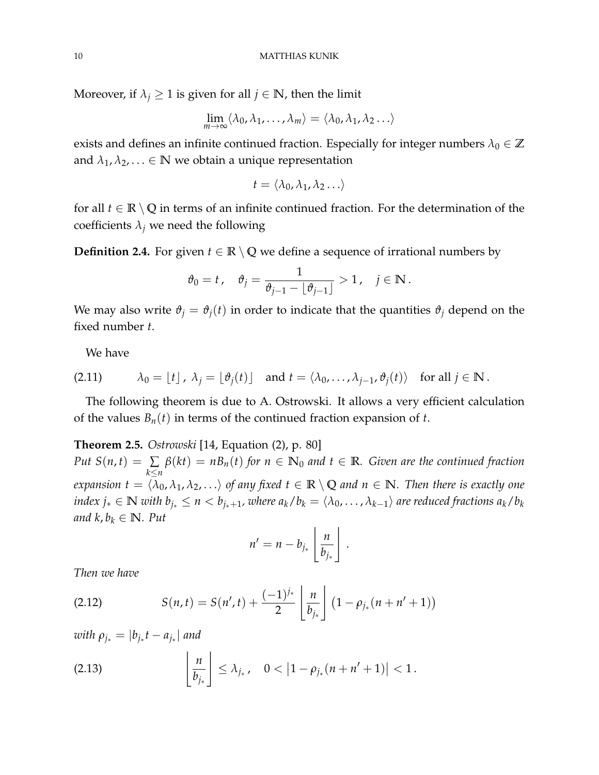Moreover, if  $\lambda_j \geq 1$  is given for all  $j \in \mathbb{N}$ , then the limit

$$
\lim_{m\to\infty}\langle \lambda_0,\lambda_1,\ldots,\lambda_m\rangle=\langle \lambda_0,\lambda_1,\lambda_2\ldots\rangle
$$

exists and defines an infinite continued fraction. Especially for integer numbers  $\lambda_0 \in \mathbb{Z}$ and  $\lambda_1, \lambda_2, \ldots \in \mathbb{N}$  we obtain a unique representation

$$
t = \langle \lambda_0, \lambda_1, \lambda_2 \ldots \rangle
$$

for all  $t \in \mathbb{R} \setminus \mathbb{Q}$  in terms of an infinite continued fraction. For the determination of the coefficients  $\lambda_j$  we need the following

<span id="page-9-3"></span>**Definition 2.4.** For given  $t \in \mathbb{R} \setminus \mathbb{Q}$  we define a sequence of irrational numbers by

$$
\vartheta_0 = t\,, \quad \vartheta_j = \frac{1}{\vartheta_{j-1} - \lfloor \vartheta_{j-1} \rfloor} > 1\,, \quad j \in \mathbb{N}\,.
$$

We may also write  $\vartheta_j = \vartheta_j(t)$  in order to indicate that the quantities  $\vartheta_j$  depend on the fixed number *t*.

<span id="page-9-4"></span>We have

(2.11) 
$$
\lambda_0 = \lfloor t \rfloor, \ \lambda_j = \lfloor \vartheta_j(t) \rfloor \quad \text{and } t = \langle \lambda_0, \ldots, \lambda_{j-1}, \vartheta_j(t) \rangle \quad \text{for all } j \in \mathbb{N}.
$$

The following theorem is due to A. Ostrowski. It allows a very efficient calculation of the values *Bn*(*t*) in terms of the continued fraction expansion of *t*.

<span id="page-9-0"></span>**Theorem 2.5.** *Ostrowski* [\[14,](#page-21-1) Equation (2), p. 80]

*Put*  $S(n, t) = \sum$ *k*≤*n β*(*kt*) = *nBn*(*t*) *for n* ∈ **N**<sup>0</sup> *and t* ∈ **R***. Given are the continued fraction expansion*  $t = \langle \bar{\lambda}_0, \lambda_1, \lambda_2, \ldots \rangle$  *of any fixed*  $t \in \mathbb{R} \setminus \mathbb{Q}$  *and*  $n \in \mathbb{N}$ *. Then there is exactly one*  $i$ ndex  $j_*\in\mathbb{N}$  with  $b_{j_*}\leq n < b_{j_*+1}$ , where  $a_k/b_k=\langle\lambda_0,\ldots,\lambda_{k-1}\rangle$  are reduced fractions  $a_k/b_k$ *and*  $k, b_k \in \mathbb{N}$ *. Put* 

$$
n' = n - b_{j_*} \left\lfloor \frac{n}{b_{j_*}} \right\rfloor.
$$

*Then we have*

<span id="page-9-1"></span>(2.12) 
$$
S(n,t) = S(n',t) + \frac{(-1)^{j_*}}{2} \left[ \frac{n}{b_{j_*}} \right] (1 - \rho_{j_*}(n + n' + 1))
$$

 $with \rho_{j_*} = |b_{j_*}t - a_{j_*}|$  and

<span id="page-9-2"></span>(2.13) 
$$
\left\lfloor \frac{n}{b_{j_*}} \right\rfloor \leq \lambda_{j_*}, \quad 0 < |1 - \rho_{j_*}(n + n' + 1)| < 1.
$$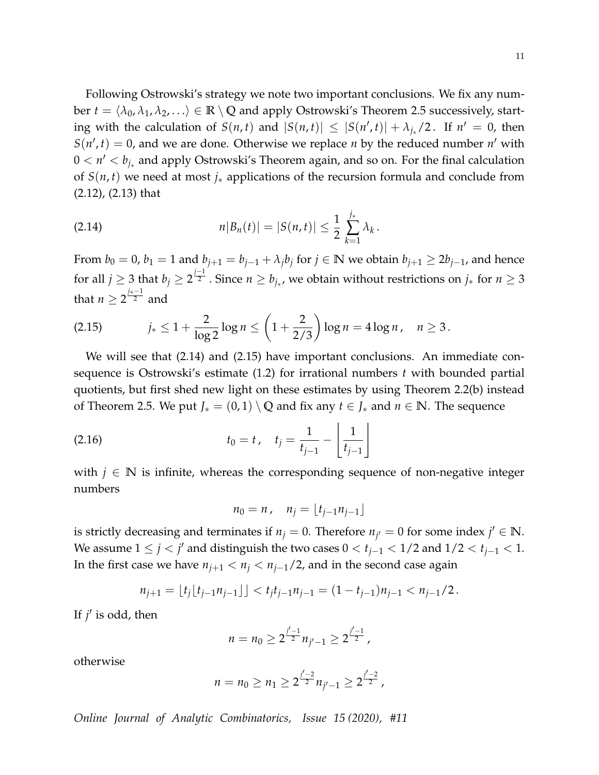11

Following Ostrowski's strategy we note two important conclusions. We fix any number  $t = \langle \lambda_0, \lambda_1, \lambda_2, \ldots \rangle \in \mathbb{R} \setminus \mathbb{Q}$  and apply Ostrowski's Theorem [2.5](#page-9-0) successively, starting with the calculation of  $S(n, t)$  and  $|S(n, t)| \leq |S(n', t)| + \lambda_{j_*}/2$ . If  $n' = 0$ , then  $S(n', t) = 0$ , and we are done. Otherwise we replace *n* by the reduced number *n'* with 0 < *n* <sup>0</sup> < *bj*<sup>∗</sup> and apply Ostrowski's Theorem again, and so on. For the final calculation of *S*(*n*, *t*) we need at most *j*<sup>∗</sup> applications of the recursion formula and conclude from [\(2.12\)](#page-9-1), [\(2.13\)](#page-9-2) that

<span id="page-10-0"></span>(2.14) 
$$
n|B_n(t)| = |S(n,t)| \leq \frac{1}{2} \sum_{k=1}^{j_*} \lambda_k.
$$

From  $b_0 = 0$ ,  $b_1 = 1$  and  $b_{j+1} = b_{j-1} + \lambda_j b_j$  for  $j \in \mathbb{N}$  we obtain  $b_{j+1} \ge 2b_{j-1}$ , and hence for all  $j\geq 3$  that  $b_j\geq 2^{\frac{j-1}{2}}.$  Since  $n\geq b_{j_*}$ , we obtain without restrictions on  $j_*$  for  $n\geq 3$ that  $n \geq 2^{\frac{j_*-1}{2}}$  and

<span id="page-10-1"></span>(2.15) 
$$
j_* \leq 1 + \frac{2}{\log 2} \log n \leq \left(1 + \frac{2}{2/3}\right) \log n = 4 \log n, \quad n \geq 3.
$$

We will see that [\(2.14\)](#page-10-0) and [\(2.15\)](#page-10-1) have important conclusions. An immediate consequence is Ostrowski's estimate [\(1.2\)](#page-1-0) for irrational numbers *t* with bounded partial quotients, but first shed new light on these estimates by using Theorem [2.2\(](#page-0-0)b) instead of Theorem [2.5.](#page-9-0) We put *J*<sub>∗</sub> =  $(0,1) \setminus \mathbb{Q}$  and fix any *t* ∈ *J*<sub>∗</sub> and *n* ∈ **N**. The sequence

(2.16) 
$$
t_0 = t, \quad t_j = \frac{1}{t_{j-1}} - \left\lfloor \frac{1}{t_{j-1}} \right\rfloor
$$

with  $j \in \mathbb{N}$  is infinite, whereas the corresponding sequence of non-negative integer numbers

<span id="page-10-2"></span>
$$
n_0 = n, \quad n_j = \lfloor t_{j-1} n_{j-1} \rfloor
$$

is strictly decreasing and terminates if  $n_j = 0$ . Therefore  $n_{j'} = 0$  for some index  $j' \in \mathbb{N}$ . We assume  $1 \leq j < j'$  and distinguish the two cases  $0 < t_{j-1} < 1/2$  and  $1/2 < t_{j-1} < 1$ . In the first case we have  $n_{j+1} < n_j < n_{j-1}/2$ , and in the second case again

$$
n_{j+1} = \lfloor t_j \lfloor t_{j-1} n_{j-1} \rfloor \rfloor < t_j t_{j-1} n_{j-1} = (1 - t_{j-1}) n_{j-1} < n_{j-1}/2.
$$

If  $j'$  is odd, then

$$
n=n_0\geq 2^{\frac{j'-1}{2}}n_{j'-1}\geq 2^{\frac{j'-1}{2}},
$$

otherwise

$$
n = n_0 \ge n_1 \ge 2^{\frac{j'-2}{2}} n_{j'-1} \ge 2^{\frac{j'-2}{2}},
$$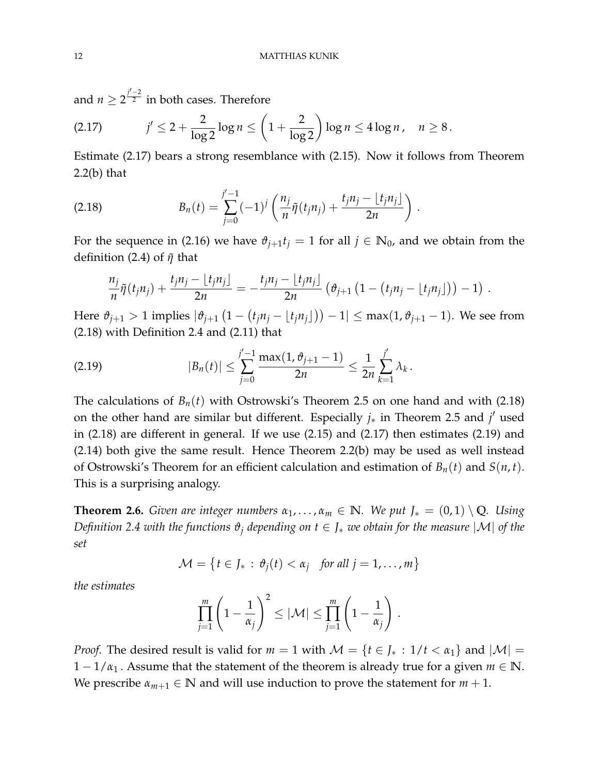and  $n \geq 2^{\frac{j'-2}{2}}$  $\overline{z}^-$  in both cases. Therefore

<span id="page-11-2"></span>
$$
(2.17) \t j' \le 2 + \frac{2}{\log 2} \log n \le \left(1 + \frac{2}{\log 2}\right) \log n \le 4 \log n, \quad n \ge 8.
$$

Estimate [\(2.17\)](#page-11-2) bears a strong resemblance with [\(2.15\)](#page-10-1). Now it follows from Theorem  $2.2(b)$  $2.2(b)$  that

<span id="page-11-1"></span>(2.18) 
$$
B_n(t) = \sum_{j=0}^{j'-1} (-1)^j \left( \frac{n_j}{n} \tilde{\eta}(t_j n_j) + \frac{t_j n_j - \lfloor t_j n_j \rfloor}{2n} \right)
$$

For the sequence in [\(2.16\)](#page-10-2) we have  $\vartheta_{j+1} t_j = 1$  for all  $j \in \mathbb{N}_0$ , and we obtain from the definition [\(2.4\)](#page-5-2) of  $\tilde{\eta}$  that

.

<span id="page-11-3"></span>
$$
\frac{n_j}{n}\tilde{\eta}(t_j n_j) + \frac{t_j n_j - \lfloor t_j n_j \rfloor}{2n} = -\frac{t_j n_j - \lfloor t_j n_j \rfloor}{2n} \left( \vartheta_{j+1} \left( 1 - (t_j n_j - \lfloor t_j n_j \rfloor) \right) - 1 \right).
$$

Here  $\vartheta_{j+1} > 1$  implies  $|\vartheta_{j+1}(1-(t_jn_j-lt_jn_j|))-1| \leq \max(1,\vartheta_{j+1}-1)$ . We see from [\(2.18\)](#page-11-1) with Definition [2.4](#page-9-3) and [\(2.11\)](#page-9-4) that

$$
(2.19) \t|B_n(t)| \leq \sum_{j=0}^{j'-1} \frac{\max(1,\vartheta_{j+1}-1)}{2n} \leq \frac{1}{2n} \sum_{k=1}^{j'} \lambda_k.
$$

The calculations of  $B_n(t)$  with Ostrowski's Theorem [2.5](#page-9-0) on one hand and with [\(2.18\)](#page-11-1) on the other hand are similar but different. Especially  $j_*$  in Theorem [2.5](#page-9-0) and  $j'$  used in [\(2.18\)](#page-11-1) are different in general. If we use [\(2.15\)](#page-10-1) and [\(2.17\)](#page-11-2) then estimates [\(2.19\)](#page-11-3) and [\(2.14\)](#page-10-0) both give the same result. Hence Theorem [2.2\(](#page-0-0)b) may be used as well instead of Ostrowski's Theorem for an efficient calculation and estimation of  $B_n(t)$  and  $S(n, t)$ . This is a surprising analogy.

<span id="page-11-0"></span>**Theorem 2.6.** *Given are integer numbers*  $\alpha_1, \ldots, \alpha_m \in \mathbb{N}$ *. We put*  $J_* = (0, 1) \setminus \mathbb{Q}$ *. Using Definition* [2.4](#page-9-3) *with the functions*  $\vartheta_i$  *depending on*  $t \in J_*$  *we obtain for the measure*  $|\mathcal{M}|$  *of the set*

$$
\mathcal{M} = \left\{ t \in J_* : \vartheta_j(t) < \alpha_j \quad \text{for all } j = 1, \dots, m \right\}
$$

*the estimates*

$$
\prod_{j=1}^m \left(1 - \frac{1}{\alpha_j}\right)^2 \leq |\mathcal{M}| \leq \prod_{j=1}^m \left(1 - \frac{1}{\alpha_j}\right).
$$

*Proof.* The desired result is valid for  $m = 1$  with  $\mathcal{M} = \{t \in J_* : 1/t < \alpha_1\}$  and  $|\mathcal{M}| =$  $1 - 1/\alpha_1$ . Assume that the statement of the theorem is already true for a given  $m \in \mathbb{N}$ . We prescribe  $\alpha_{m+1} \in \mathbb{N}$  and will use induction to prove the statement for  $m + 1$ .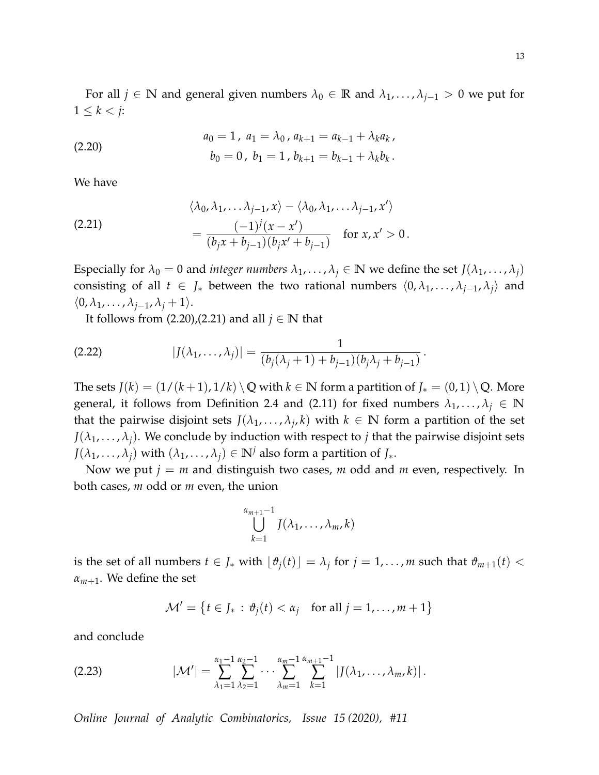For all  $j \in \mathbb{N}$  and general given numbers  $\lambda_0 \in \mathbb{R}$  and  $\lambda_1, \ldots, \lambda_{j-1} > 0$  we put for  $1 \leq k < j$ :

<span id="page-12-0"></span>(2.20) 
$$
a_0 = 1, \ a_1 = \lambda_0, \ a_{k+1} = a_{k-1} + \lambda_k a_k,
$$

$$
b_0 = 0, \ b_1 = 1, \ b_{k+1} = b_{k-1} + \lambda_k b_k.
$$

We have

<span id="page-12-1"></span>(2.21) 
$$
\langle \lambda_0, \lambda_1, \ldots \lambda_{j-1}, x \rangle - \langle \lambda_0, \lambda_1, \ldots \lambda_{j-1}, x' \rangle
$$

$$
= \frac{(-1)^j (x - x')}{(b_j x + b_{j-1})(b_j x' + b_{j-1})} \quad \text{for } x, x' > 0.
$$

Especially for  $\lambda_0 = 0$  and *integer numbers*  $\lambda_1, \dots, \lambda_j \in \mathbb{N}$  we define the set  $J(\lambda_1, \dots, \lambda_j)$ consisting of all  $t \in J_*$  between the two rational numbers  $\langle 0, \lambda_1, \ldots, \lambda_{j-1}, \lambda_j \rangle$  and  $\langle 0, \lambda_1, \ldots, \lambda_{j-1}, \lambda_j + 1 \rangle.$ 

<span id="page-12-3"></span>It follows from  $(2.20)$ , $(2.21)$  and all  $j \in \mathbb{N}$  that

(2.22) 
$$
|J(\lambda_1,\ldots,\lambda_j)| = \frac{1}{(b_j(\lambda_j+1)+b_{j-1})(b_j\lambda_j+b_{j-1})}.
$$

The sets  $J(k) = (1/(k+1), 1/k) \setminus \mathbb{Q}$  with  $k \in \mathbb{N}$  form a partition of  $J_*(0, 1) \setminus \mathbb{Q}$ . More general, it follows from Definition [2.4](#page-9-3) and [\(2.11\)](#page-9-4) for fixed numbers  $\lambda_1, \ldots, \lambda_j \in \mathbb{N}$ that the pairwise disjoint sets  $J(\lambda_1, \ldots, \lambda_j, k)$  with  $k \in \mathbb{N}$  form a partition of the set  $J(\lambda_1, \ldots, \lambda_j)$ . We conclude by induction with respect to *j* that the pairwise disjoint sets  $J(\lambda_1, \ldots, \lambda_j)$  with  $(\lambda_1, \ldots, \lambda_j) \in \mathbb{N}^j$  also form a partition of  $J_*$ .

Now we put  $j = m$  and distinguish two cases,  $m$  odd and  $m$  even, respectively. In both cases, *m* odd or *m* even, the union

$$
\bigcup_{k=1}^{\alpha_{m+1}-1} J(\lambda_1,\ldots,\lambda_m,k)
$$

is the set of all numbers  $t \in J_*$  with  $\lfloor \vartheta_j(t) \rfloor = \lambda_j$  for  $j = 1, \ldots, m$  such that  $\vartheta_{m+1}(t) <$  $\alpha_{m+1}$ . We define the set

<span id="page-12-2"></span>
$$
\mathcal{M}' = \left\{ t \in J_* : \vartheta_j(t) < \alpha_j \quad \text{for all } j = 1, \dots, m+1 \right\}
$$

and conclude

$$
(2.23) \qquad |\mathcal{M}'| = \sum_{\lambda_1=1}^{\alpha_1-1} \sum_{\lambda_2=1}^{\alpha_2-1} \cdots \sum_{\lambda_m=1}^{\alpha_m-1} \sum_{k=1}^{\alpha_{m+1}-1} |J(\lambda_1,\ldots,\lambda_m,k)|.
$$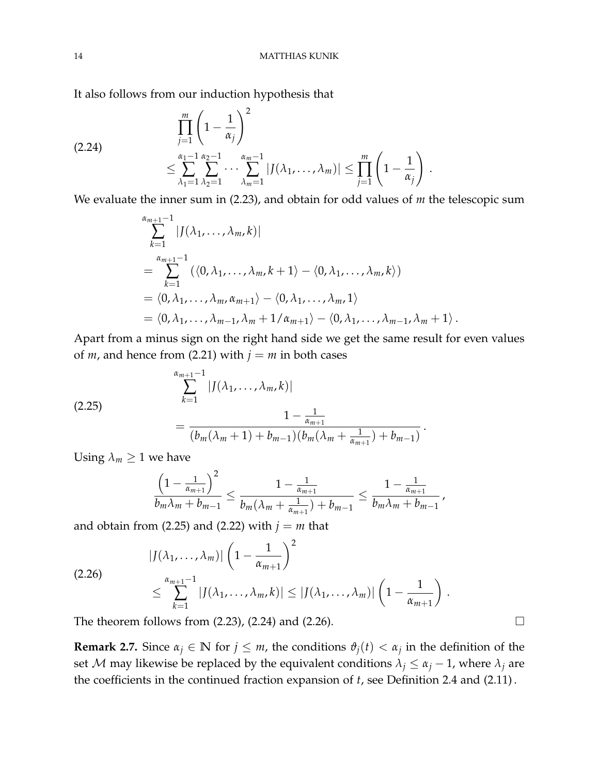It also follows from our induction hypothesis that

<span id="page-13-1"></span>
$$
(2.24) \qquad \qquad \prod_{j=1}^{m} \left(1 - \frac{1}{\alpha_j}\right)^2
$$
\n
$$
\leq \sum_{\lambda_1=1}^{\alpha_1-1} \sum_{\lambda_2=1}^{\alpha_2-1} \cdots \sum_{\lambda_m=1}^{\alpha_m-1} |J(\lambda_1,\ldots,\lambda_m)| \leq \prod_{j=1}^{m} \left(1 - \frac{1}{\alpha_j}\right).
$$

We evaluate the inner sum in [\(2.23\)](#page-12-2), and obtain for odd values of *m* the telescopic sum

$$
\sum_{k=1}^{\alpha_{m+1}-1} |J(\lambda_1,\ldots,\lambda_m,k)|
$$
  
= 
$$
\sum_{k=1}^{\alpha_{m+1}-1} (\langle 0,\lambda_1,\ldots,\lambda_m,k+1\rangle - \langle 0,\lambda_1,\ldots,\lambda_m,k\rangle)
$$
  
= 
$$
\langle 0,\lambda_1,\ldots,\lambda_m,\alpha_{m+1}\rangle - \langle 0,\lambda_1,\ldots,\lambda_m,1\rangle
$$
  
= 
$$
\langle 0,\lambda_1,\ldots,\lambda_{m-1},\lambda_m+1/\alpha_{m+1}\rangle - \langle 0,\lambda_1,\ldots,\lambda_{m-1},\lambda_m+1\rangle.
$$

Apart from a minus sign on the right hand side we get the same result for even values of *m*, and hence from [\(2.21\)](#page-12-1) with  $j = m$  in both cases

<span id="page-13-0"></span>(2.25)  

$$
\sum_{k=1}^{\alpha_{m+1}-1} |J(\lambda_1,\ldots,\lambda_m,k)|
$$

$$
=\frac{1-\frac{1}{\alpha_{m+1}}}{(b_m(\lambda_m+1)+b_{m-1})(b_m(\lambda_m+\frac{1}{\alpha_{m+1}})+b_{m-1})}.
$$

Using  $\lambda_m \geq 1$  we have

$$
\frac{\left(1-\frac{1}{\alpha_{m+1}}\right)^2}{b_m\lambda_m+b_{m-1}} \leq \frac{1-\frac{1}{\alpha_{m+1}}}{b_m(\lambda_m+\frac{1}{\alpha_{m+1}})+b_{m-1}} \leq \frac{1-\frac{1}{\alpha_{m+1}}}{b_m\lambda_m+b_{m-1}},
$$

and obtain from [\(2.25\)](#page-13-0) and [\(2.22\)](#page-12-3) with  $j = m$  that

<span id="page-13-2"></span>
$$
|J(\lambda_1,\ldots,\lambda_m)|\left(1-\frac{1}{\alpha_{m+1}}\right)^2
$$
  
(2.26)  

$$
\leq \sum_{k=1}^{\alpha_{m+1}-1} |J(\lambda_1,\ldots,\lambda_m,k)| \leq |J(\lambda_1,\ldots,\lambda_m)|\left(1-\frac{1}{\alpha_{m+1}}\right).
$$

The theorem follows from  $(2.23)$ ,  $(2.24)$  and  $(2.26)$ .

**Remark 2.7.** Since  $\alpha_j \in \mathbb{N}$  for  $j \leq m$ , the conditions  $\vartheta_j(t) < \alpha_j$  in the definition of the set *M* may likewise be replaced by the equivalent conditions  $\lambda_j \leq \alpha_j - 1$ , where  $\lambda_j$  are the coefficients in the continued fraction expansion of *t*, see Definition [2.4](#page-9-3) and [\(2.11\)](#page-9-4) .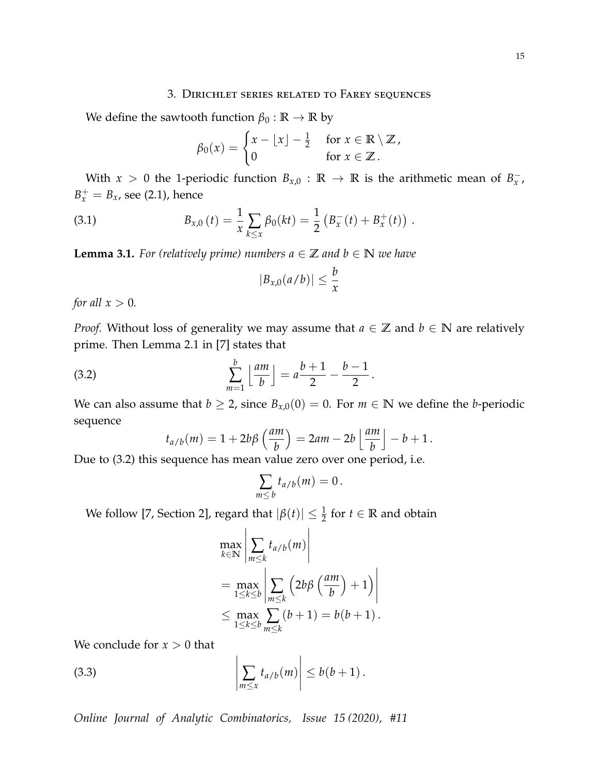# 3. Dirichlet series related to Farey sequences

<span id="page-14-0"></span>We define the sawtooth function  $\beta_0 : \mathbb{R} \to \mathbb{R}$  by

<span id="page-14-4"></span>
$$
\beta_0(x) = \begin{cases} x - \lfloor x \rfloor - \frac{1}{2} & \text{for } x \in \mathbb{R} \setminus \mathbb{Z}, \\ 0 & \text{for } x \in \mathbb{Z}. \end{cases}
$$

With *x* > 0 the 1-periodic function  $B_{x,0}$  : **R**  $\rightarrow$  **R** is the arithmetic mean of  $B_x^-$ ,  $B_x^+ = B_x$ , see [\(2.1\)](#page-4-1), hence

(3.1) 
$$
B_{x,0}(t) = \frac{1}{x} \sum_{k \leq x} \beta_0(kt) = \frac{1}{2} \left( B_x^-(t) + B_x^+(t) \right).
$$

<span id="page-14-3"></span>**Lemma 3.1.** *For (relatively prime) numbers*  $a \in \mathbb{Z}$  *and*  $b \in \mathbb{N}$  *we have* 

$$
|B_{x,0}(a/b)| \leq \frac{b}{x}
$$

*for all*  $x > 0$ *.* 

*Proof.* Without loss of generality we may assume that  $a \in \mathbb{Z}$  and  $b \in \mathbb{N}$  are relatively prime. Then Lemma 2.1 in [\[7\]](#page-21-7) states that

(3.2) 
$$
\sum_{m=1}^b \left\lfloor \frac{am}{b} \right\rfloor = a \frac{b+1}{2} - \frac{b-1}{2}.
$$

We can also assume that  $b \ge 2$ , since  $B_{x,0}(0) = 0$ . For  $m \in \mathbb{N}$  we define the *b*-periodic sequence

<span id="page-14-1"></span>
$$
t_{a/b}(m) = 1 + 2b\beta \left(\frac{am}{b}\right) = 2am - 2b \left\lfloor \frac{am}{b} \right\rfloor - b + 1.
$$

Due to [\(3.2\)](#page-14-1) this sequence has mean value zero over one period, i.e.

$$
\sum_{m\leq b}t_{a/b}(m)=0.
$$

We follow [\[7,](#page-21-7) Section 2], regard that  $|\beta(t)| \leq \frac{1}{2}$  for  $t \in \mathbb{R}$  and obtain

<span id="page-14-2"></span>
$$
\max_{k \in \mathbb{N}} \left| \sum_{m \leq k} t_{a/b}(m) \right|
$$
  
= 
$$
\max_{1 \leq k \leq b} \left| \sum_{m \leq k} \left( 2b\beta \left( \frac{am}{b} \right) + 1 \right) \right|
$$
  

$$
\leq \max_{1 \leq k \leq b} \sum_{m \leq k} (b+1) = b(b+1).
$$

We conclude for  $x > 0$  that

(3.3) 
$$
\left|\sum_{m\leq x} t_{a/b}(m)\right| \leq b(b+1).
$$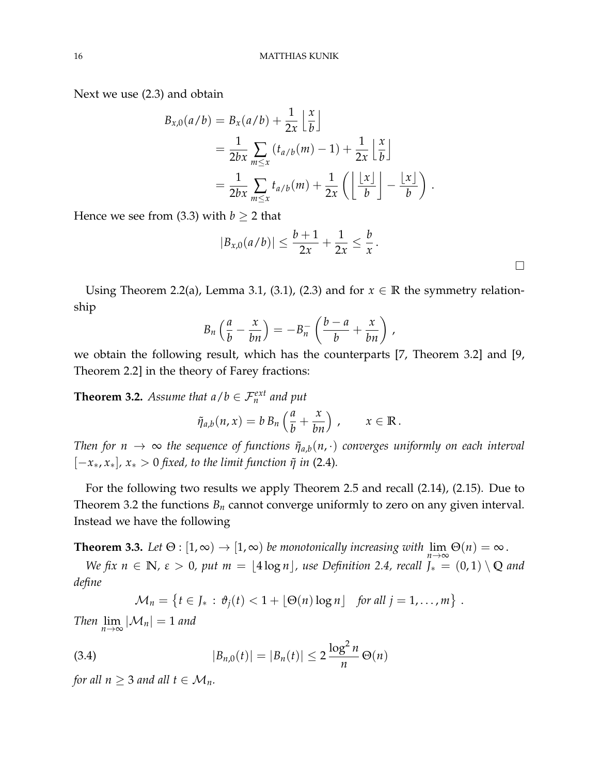Next we use [\(2.3\)](#page-5-1) and obtain

$$
B_{x,0}(a/b) = B_x(a/b) + \frac{1}{2x} \left\lfloor \frac{x}{b} \right\rfloor
$$
  
= 
$$
\frac{1}{2bx} \sum_{m \le x} (t_{a/b}(m) - 1) + \frac{1}{2x} \left\lfloor \frac{x}{b} \right\rfloor
$$
  
= 
$$
\frac{1}{2bx} \sum_{m \le x} t_{a/b}(m) + \frac{1}{2x} \left( \left\lfloor \frac{x}{b} \right\rfloor - \frac{x}{b} \right).
$$

Hence we see from [\(3.3\)](#page-14-2) with  $b \ge 2$  that

$$
|B_{x,0}(a/b)| \leq \frac{b+1}{2x} + \frac{1}{2x} \leq \frac{b}{x}.
$$

Using Theorem [2.2\(](#page-0-0)a), Lemma [3.1,](#page-14-3) [\(3.1\)](#page-14-4), [\(2.3\)](#page-5-1) and for  $x \in \mathbb{R}$  the symmetry relationship

$$
B_n\left(\frac{a}{b}-\frac{x}{bn}\right)=-B_n^-\left(\frac{b-a}{b}+\frac{x}{bn}\right),\,
$$

we obtain the following result, which has the counterparts [\[7,](#page-21-7) Theorem 3.2] and [\[9,](#page-21-5) Theorem 2.2] in the theory of Farey fractions:

<span id="page-15-1"></span>**Theorem 3.2.** *Assume that*  $a/b \in \mathcal{F}_n^{ext}$  *and put* 

$$
\tilde{\eta}_{a,b}(n,x) = b B_n \left( \frac{a}{b} + \frac{x}{bn} \right), \qquad x \in \mathbb{R}.
$$

*Then for*  $n \to \infty$  *the sequence of functions*  $\tilde{\eta}_{a,b}(n,\cdot)$  *converges uniformly on each interval*  $[-x_*, x_*]$ ,  $x_* > 0$  *fixed, to the limit function*  $\tilde{\eta}$  *in* [\(2.4\)](#page-5-2)*.* 

For the following two results we apply Theorem [2.5](#page-9-0) and recall [\(2.14\)](#page-10-0), [\(2.15\)](#page-10-1). Due to Theorem [3.2](#page-15-1) the functions  $B_n$  cannot converge uniformly to zero on any given interval. Instead we have the following

<span id="page-15-0"></span>**Theorem 3.3.** Let  $\Theta$  :  $[1,\infty) \to [1,\infty)$  be monotonically increasing with  $\lim_{n\to\infty} \Theta(n) = \infty$ .

*We fix*  $n \in \mathbb{N}$ ,  $\varepsilon > 0$ , put  $m = \lfloor 4 \log n \rfloor$ , use Definition [2.4,](#page-9-3) recall  $\overline{J_*} = (0,1) \setminus \mathbb{Q}$  and *define*

<span id="page-15-2"></span>
$$
\mathcal{M}_n = \left\{ t \in J_* : \vartheta_j(t) < 1 + \lfloor \Theta(n) \log n \rfloor \quad \text{for all } j = 1, \ldots, m \right\}.
$$

*Then*  $\lim_{n\to\infty}$   $|\mathcal{M}_n| = 1$  *and* 

(3.4) 
$$
|B_{n,0}(t)| = |B_n(t)| \leq 2 \frac{\log^2 n}{n} \Theta(n)
$$

*for all*  $n \geq 3$  *and all*  $t \in M_n$ *.*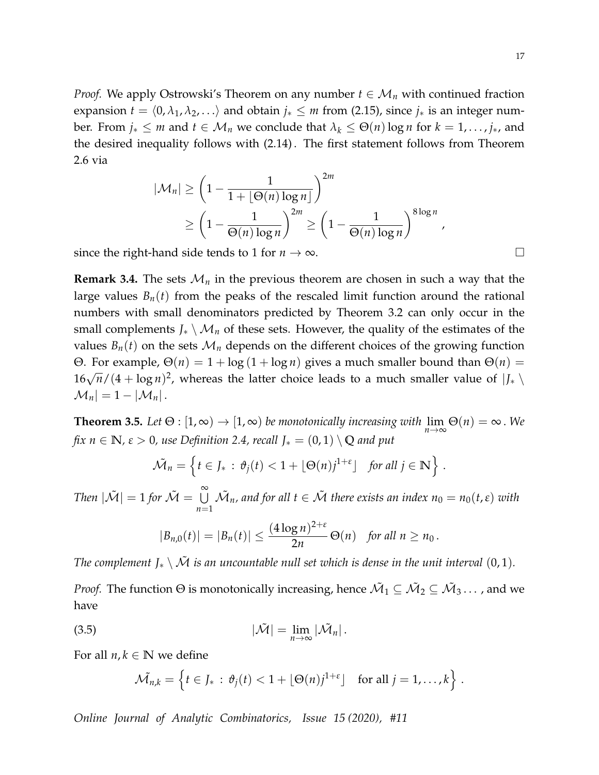*Proof.* We apply Ostrowski's Theorem on any number  $t \in M_n$  with continued fraction expansion  $t = \langle 0, \lambda_1, \lambda_2, \ldots \rangle$  and obtain  $j_* \leq m$  from [\(2.15\)](#page-10-1), since  $j_*$  is an integer number. From  $j_* \leq m$  and  $t \in M_n$  we conclude that  $\lambda_k \leq \Theta(n) \log n$  for  $k = 1, \ldots, j_*$ , and the desired inequality follows with [\(2.14\)](#page-10-0) . The first statement follows from Theorem [2.6](#page-11-0) via

$$
|\mathcal{M}_n| \ge \left(1 - \frac{1}{1 + \lfloor \Theta(n) \log n \rfloor}\right)^{2m}
$$
  
 
$$
\ge \left(1 - \frac{1}{\Theta(n) \log n}\right)^{2m} \ge \left(1 - \frac{1}{\Theta(n) \log n}\right)^{8\log n},
$$

since the right-hand side tends to 1 for  $n \to \infty$ .

**Remark 3.4.** The sets  $\mathcal{M}_n$  in the previous theorem are chosen in such a way that the large values  $B_n(t)$  from the peaks of the rescaled limit function around the rational numbers with small denominators predicted by Theorem [3.2](#page-15-1) can only occur in the small complements  $J_* \setminus M_n$  of these sets. However, the quality of the estimates of the values  $B_n(t)$  on the sets  $\mathcal{M}_n$  depends on the different choices of the growing function Θ. For example,  $Θ(n) = 1 + log(1 + log n)$  gives a much smaller bound than  $Θ(n)$  =  $16\sqrt{n}/(4 + \log n)^2$ , whereas the latter choice leads to a much smaller value of  $|J_* \setminus$  $|\mathcal{M}_n| = 1 - |\mathcal{M}_n|.$ 

<span id="page-16-0"></span>**Theorem 3.5.** Let  $\Theta$  :  $[1, \infty) \to [1, \infty)$  be monotonically increasing with  $\lim_{n \to \infty} \Theta(n) = \infty$ . We *fix*  $n \in \mathbb{N}$ ,  $\varepsilon > 0$ , use Definition [2.4,](#page-9-3) recall  $J_* = (0, 1) \setminus \mathbb{Q}$  and put

$$
\tilde{\mathcal{M}}_n = \left\{ t \in J_* : \vartheta_j(t) < 1 + \lfloor \Theta(n) j^{1+\epsilon} \rfloor \quad \text{for all } j \in \mathbb{N} \right\} \, .
$$

*Then*  $|\tilde{\mathcal{M}}| = 1$  *for*  $\tilde{\mathcal{M}} = \bigcup_{i=1}^{\infty}$ *n*=1  $\tilde{\mathcal{M}}_n$ , and for all  $t \in \tilde{\mathcal{M}}$  there exists an index  $n_0 = n_0(t,\varepsilon)$  with

$$
|B_{n,0}(t)| = |B_n(t)| \le \frac{(4\log n)^{2+\epsilon}}{2n} \Theta(n) \text{ for all } n \ge n_0.
$$

*The complement*  $J_* \setminus \tilde{M}$  *is an uncountable null set which is dense in the unit interval* (0, 1).

*Proof.* The function  $\Theta$  is monotonically increasing, hence  $\tilde{\mathcal{M}}_1\subseteq\tilde{\mathcal{M}}_2\subseteq\tilde{\mathcal{M}}_3\dots$  , and we have

(3.5) 
$$
|\tilde{\mathcal{M}}| = \lim_{n \to \infty} |\tilde{\mathcal{M}}_n|.
$$

For all  $n, k \in \mathbb{N}$  we define

<span id="page-16-1"></span>
$$
\widetilde{\mathcal{M}}_{n,k} = \left\{ t \in J_* : \vartheta_j(t) < 1 + \lfloor \Theta(n) j^{1+\epsilon} \rfloor \quad \text{for all } j = 1, \ldots, k \right\} \, .
$$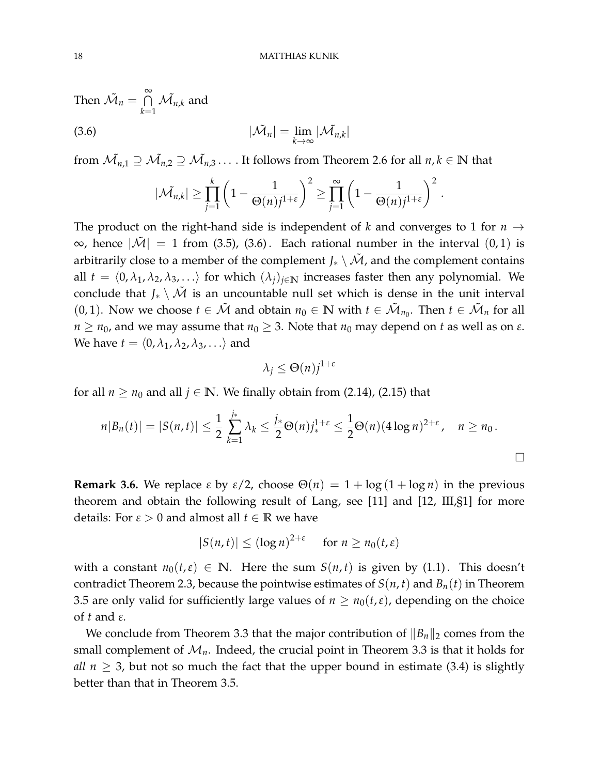Then 
$$
\tilde{M}_n = \bigcap_{k=1}^{\infty} \tilde{M}_{n,k}
$$
 and  
(3.6) 
$$
|\tilde{M}_n| = \lim_{k \to \infty} |\tilde{M}_{n,k}|
$$

from  $\tilde{\mathcal{M}_{n,1}}\supseteq\tilde{\mathcal{M}_{n,2}}\supseteq\tilde{\mathcal{M}_{n,3}}\ldots$  . It follows from Theorem [2.6](#page-11-0) for all  $n,k\in\mathbb{N}$  that

<span id="page-17-0"></span>
$$
|\tilde{\mathcal{M}}_{n,k}| \geq \prod_{j=1}^k \left(1 - \frac{1}{\Theta(n)j^{1+\varepsilon}}\right)^2 \geq \prod_{j=1}^\infty \left(1 - \frac{1}{\Theta(n)j^{1+\varepsilon}}\right)^2.
$$

The product on the right-hand side is independent of *k* and converges to 1 for  $n \rightarrow$ ∞, hence  $|\tilde{M}| = 1$  from [\(3.5\)](#page-16-1), [\(3.6\)](#page-17-0). Each rational number in the interval (0,1) is arbitrarily close to a member of the complement *J*<sup>∗</sup>  $\setminus \tilde{M}$ , and the complement contains all  $t = \langle 0, \lambda_1, \lambda_2, \lambda_3, \ldots \rangle$  for which  $(\lambda_i)_{i \in \mathbb{N}}$  increases faster then any polynomial. We conclude that  $J_* \setminus \tilde{M}$  is an uncountable null set which is dense in the unit interval (0, 1). Now we choose  $t \in \tilde{\mathcal{M}}$  and obtain  $n_0 \in \mathbb{N}$  with  $t \in \tilde{\mathcal{M}}_{n_0}$ . Then  $t \in \tilde{\mathcal{M}}_n$  for all *n*  $\geq$  *n*<sub>0</sub>, and we may assume that *n*<sub>0</sub>  $\geq$  3. Note that *n*<sub>0</sub> may depend on *t* as well as on  $\varepsilon$ . We have  $t = \langle 0, \lambda_1, \lambda_2, \lambda_3, \ldots \rangle$  and

$$
\lambda_j \leq \Theta(n) j^{1+\varepsilon}
$$

for all  $n \geq n_0$  and all  $j \in \mathbb{N}$ . We finally obtain from [\(2.14\)](#page-10-0), [\(2.15\)](#page-10-1) that

$$
n|B_n(t)| = |S(n,t)| \leq \frac{1}{2} \sum_{k=1}^{j_*} \lambda_k \leq \frac{j_*}{2} \Theta(n) j_*^{1+\epsilon} \leq \frac{1}{2} \Theta(n) (4 \log n)^{2+\epsilon}, \quad n \geq n_0.
$$

**Remark 3.6.** We replace  $\varepsilon$  by  $\varepsilon/2$ , choose  $\Theta(n) = 1 + \log(1 + \log n)$  in the previous theorem and obtain the following result of Lang, see [\[11\]](#page-21-2) and [\[12,](#page-21-3) III,§1] for more details: For  $\varepsilon > 0$  and almost all  $t \in \mathbb{R}$  we have

$$
|S(n,t)| \leq (\log n)^{2+\varepsilon} \quad \text{for } n \geq n_0(t,\varepsilon)
$$

with a constant  $n_0(t,\varepsilon) \in \mathbb{N}$ . Here the sum  $S(n,t)$  is given by [\(1.1\)](#page-0-1). This doesn't contradict Theorem [2.3,](#page-8-0) because the pointwise estimates of  $S(n, t)$  and  $B_n(t)$  in Theorem [3.5](#page-16-0) are only valid for sufficiently large values of  $n \ge n_0(t,\varepsilon)$ , depending on the choice of *t* and *ε*.

We conclude from Theorem [3.3](#page-15-0) that the major contribution of  $||B_n||_2$  comes from the small complement of  $\mathcal{M}_n$ . Indeed, the crucial point in Theorem [3.3](#page-15-0) is that it holds for *all*  $n \geq 3$ , but not so much the fact that the upper bound in estimate [\(3.4\)](#page-15-2) is slightly better than that in Theorem [3.5.](#page-16-0)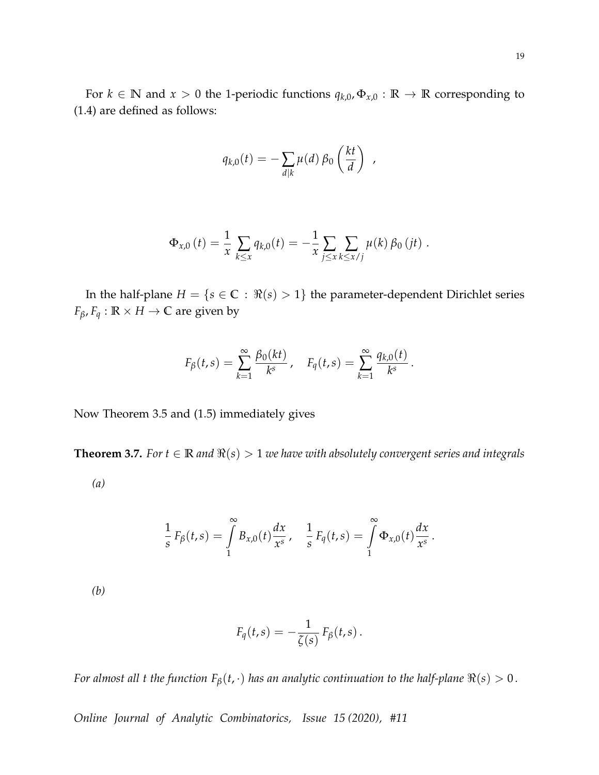For  $k \in \mathbb{N}$  and  $x > 0$  the 1-periodic functions  $q_{k,0}, \Phi_{x,0} : \mathbb{R} \to \mathbb{R}$  corresponding to [\(1.4\)](#page-2-0) are defined as follows:

$$
q_{k,0}(t) = -\sum_{d|k} \mu(d) \beta_0\left(\frac{kt}{d}\right) ,
$$

$$
\Phi_{x,0} (t) = \frac{1}{x} \sum_{k \leq x} q_{k,0}(t) = - \frac{1}{x} \sum_{j \leq x} \sum_{k \leq x/j} \mu(k) \, \beta_0 \, (jt) \; .
$$

In the half-plane  $H = \{s \in \mathbb{C} : \Re(s) > 1\}$  the parameter-dependent Dirichlet series *F*<sup>*B*</sup>, *F*<sup>*q*</sup> : **R**  $\times$  *H*  $\rightarrow$  **C** are given by

$$
F_{\beta}(t,s) = \sum_{k=1}^{\infty} \frac{\beta_0(kt)}{k^s}, \quad F_q(t,s) = \sum_{k=1}^{\infty} \frac{q_{k,0}(t)}{k^s}.
$$

Now Theorem [3.5](#page-16-0) and [\(1.5\)](#page-3-0) immediately gives

<span id="page-18-0"></span>**Theorem 3.7.** *For*  $t \in \mathbb{R}$  *and*  $\Re(s) > 1$  *we have with absolutely convergent series and integrals* 

*(a)*

$$
\frac{1}{s} F_{\beta}(t,s) = \int_{1}^{\infty} B_{x,0}(t) \frac{dx}{x^{s}}, \quad \frac{1}{s} F_{q}(t,s) = \int_{1}^{\infty} \Phi_{x,0}(t) \frac{dx}{x^{s}}.
$$

*(b)*

$$
F_q(t,s) = -\frac{1}{\zeta(s)} F_\beta(t,s).
$$

*For almost all t the function*  $F_\beta(t, \cdot)$  *has an analytic continuation to the half-plane*  $\Re(s) > 0$ *.*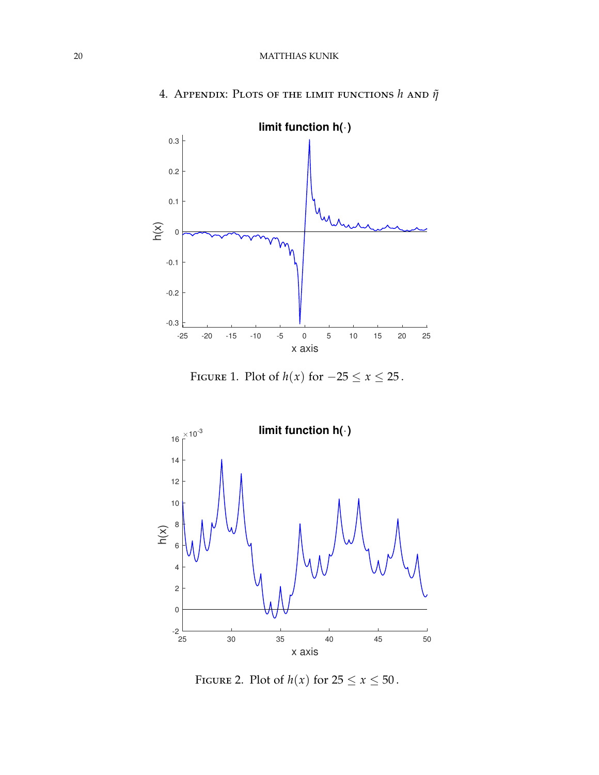<span id="page-19-0"></span>

4. Appendix: Plots of the limit functions *h* and *η*˜

<span id="page-19-1"></span>FIGURE 1. Plot of  $h(x)$  for  $-25 \le x \le 25$ .



<span id="page-19-2"></span>FIGURE 2. Plot of  $h(x)$  for  $25 \le x \le 50$ .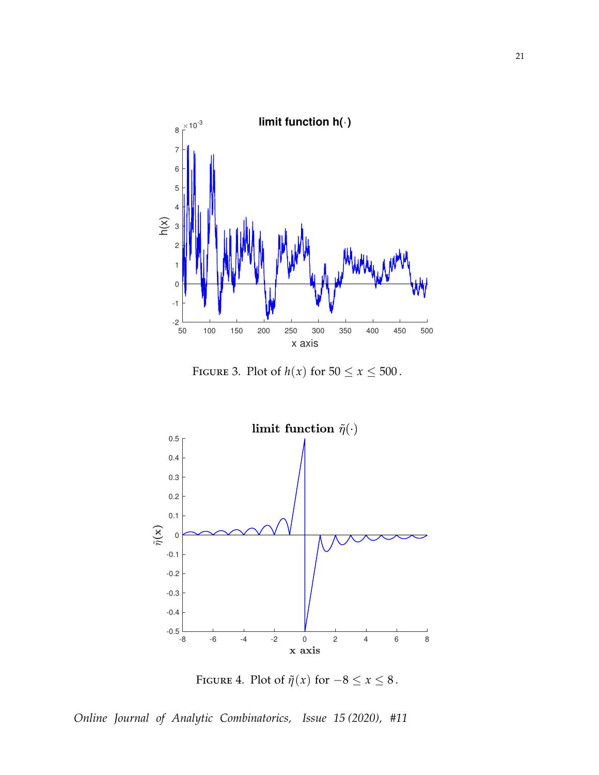

<span id="page-20-0"></span>FIGURE 3. Plot of  $h(x)$  for  $50 \le x \le 500$ .



<span id="page-20-1"></span>FIGURE 4. Plot of  $\tilde{\eta}(x)$  for  $-8 \le x \le 8$ .

*Online Journal of Analytic Combinatorics, Issue 15 (2020), #11*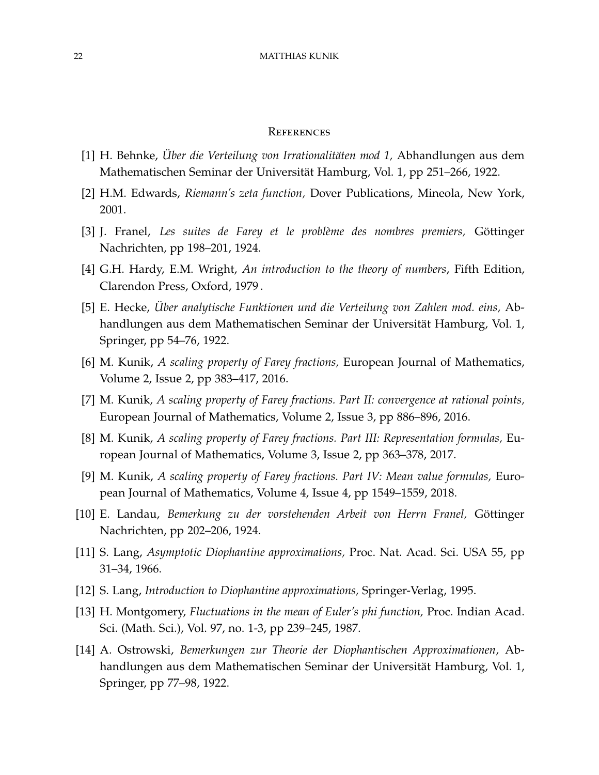## **REFERENCES**

- <span id="page-21-4"></span>[1] H. Behnke, *Über die Verteilung von Irrationalitäten mod 1,* Abhandlungen aus dem Mathematischen Seminar der Universität Hamburg, Vol. 1, pp 251–266, 1922.
- <span id="page-21-13"></span>[2] H.M. Edwards, *Riemann's zeta function,* Dover Publications, Mineola, New York, 2001.
- <span id="page-21-11"></span>[3] J. Franel, *Les suites de Farey et le problème des nombres premiers,* Göttinger Nachrichten, pp 198–201, 1924.
- <span id="page-21-0"></span>[4] G.H. Hardy, E.M. Wright, *An introduction to the theory of numbers*, Fifth Edition, Clarendon Press, Oxford, 1979 .
- <span id="page-21-9"></span>[5] E. Hecke, *Über analytische Funktionen und die Verteilung von Zahlen mod. eins,* Abhandlungen aus dem Mathematischen Seminar der Universität Hamburg, Vol. 1, Springer, pp 54–76, 1922.
- <span id="page-21-6"></span>[6] M. Kunik, *A scaling property of Farey fractions,* European Journal of Mathematics, Volume 2, Issue 2, pp 383–417, 2016.
- <span id="page-21-7"></span>[7] M. Kunik, *A scaling property of Farey fractions. Part II: convergence at rational points,* European Journal of Mathematics, Volume 2, Issue 3, pp 886–896, 2016.
- <span id="page-21-8"></span>[8] M. Kunik, *A scaling property of Farey fractions. Part III: Representation formulas,* European Journal of Mathematics, Volume 3, Issue 2, pp 363–378, 2017.
- <span id="page-21-5"></span>[9] M. Kunik, *A scaling property of Farey fractions. Part IV: Mean value formulas,* European Journal of Mathematics, Volume 4, Issue 4, pp 1549–1559, 2018.
- <span id="page-21-12"></span>[10] E. Landau, *Bemerkung zu der vorstehenden Arbeit von Herrn Franel,* Göttinger Nachrichten, pp 202–206, 1924.
- <span id="page-21-2"></span>[11] S. Lang, *Asymptotic Diophantine approximations,* Proc. Nat. Acad. Sci. USA 55, pp 31–34, 1966.
- <span id="page-21-3"></span>[12] S. Lang, *Introduction to Diophantine approximations,* Springer-Verlag, 1995.
- <span id="page-21-10"></span>[13] H. Montgomery, *Fluctuations in the mean of Euler's phi function,* Proc. Indian Acad. Sci. (Math. Sci.), Vol. 97, no. 1-3, pp 239–245, 1987.
- <span id="page-21-1"></span>[14] A. Ostrowski, *Bemerkungen zur Theorie der Diophantischen Approximationen*, Abhandlungen aus dem Mathematischen Seminar der Universität Hamburg, Vol. 1, Springer, pp 77–98, 1922.